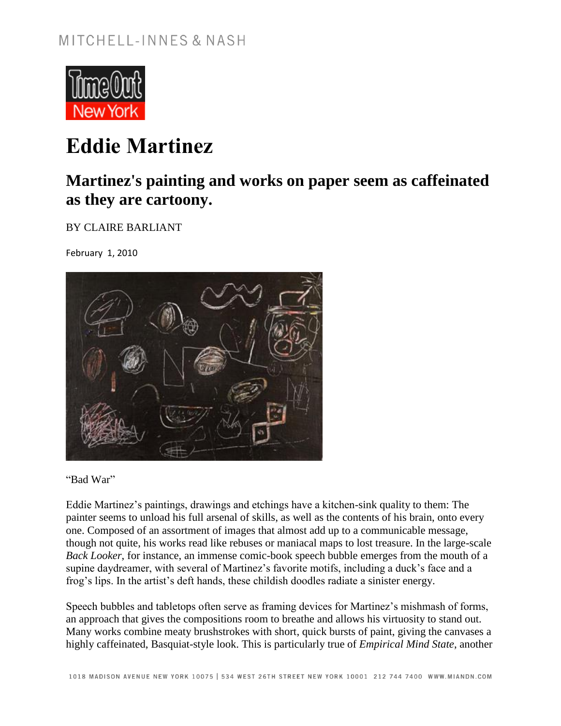

## **Eddie Martinez**

## **Martinez's painting and works on paper seem as caffeinated as they are cartoony.**

BY CLAIRE BARLIANT

February 1, 2010



"Bad War"

Eddie Martinez's paintings, drawings and etchings have a kitchen-sink quality to them: The painter seems to unload his full arsenal of skills, as well as the contents of his brain, onto every one. Composed of an assortment of images that almost add up to a communicable message, though not quite, his works read like rebuses or maniacal maps to lost treasure. In the large-scale *Back Looker*, for instance, an immense comic-book speech bubble emerges from the mouth of a supine daydreamer, with several of Martinez's favorite motifs, including a duck's face and a frog's lips. In the artist's deft hands, these childish doodles radiate a sinister energy.

Speech bubbles and tabletops often serve as framing devices for Martinez's mishmash of forms, an approach that gives the compositions room to breathe and allows his virtuosity to stand out. Many works combine meaty brushstrokes with short, quick bursts of paint, giving the canvases a highly caffeinated, Basquiat-style look. This is particularly true of *Empirical Mind State*, another